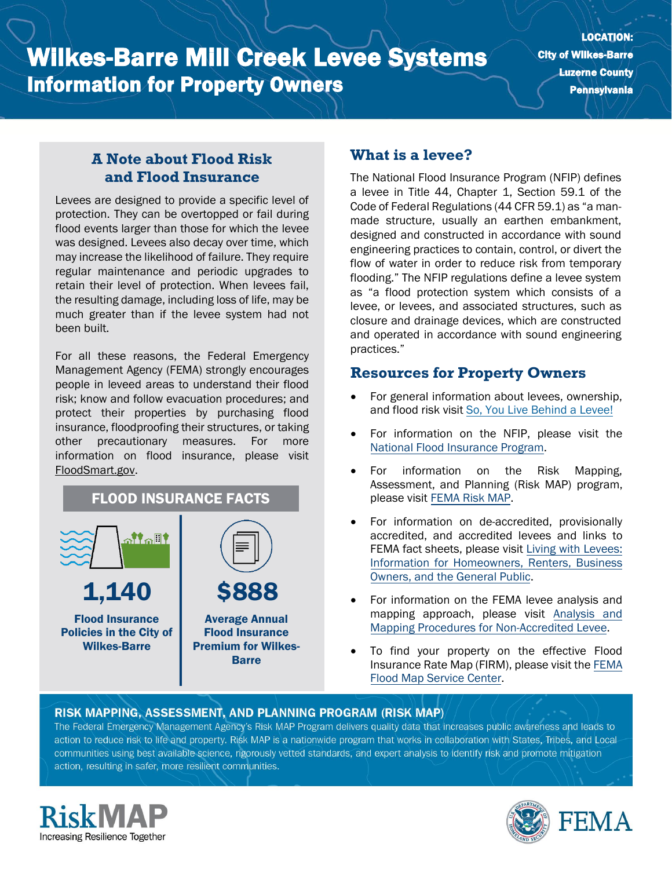# Wilkes-Barre Mill Creek Levee Systems Information for Property Owners

LOCATION: City of Wilkes-Barre Luzerne County Pennsylvania

## **A Note about Flood Risk and Flood Insurance**

Levees are designed to provide a specific level of protection. They can be overtopped or fail during flood events larger than those for which the levee was designed. Levees also decay over time, which may increase the likelihood of failure. They require regular maintenance and periodic upgrades to retain their level of protection. When levees fail, the resulting damage, including loss of life, may be much greater than if the levee system had not been built.

For all these reasons, the Federal Emergency Management Agency (FEMA) strongly encourages people in leveed areas to understand their flood risk; know and follow evacuation procedures; and protect their properties by purchasing flood insurance, floodproofing their structures, or taking other precautionary measures. For more information on flood insurance, please visit [FloodSmart.gov.](https://www.floodsmart.gov/)



# **What is a levee?**

The National Flood Insurance Program (NFIP) defines a levee in Title 44, Chapter 1, Section 59.1 of the Code of Federal Regulations (44 CFR 59.1) as "a manmade structure, usually an earthen embankment, designed and constructed in accordance with sound engineering practices to contain, control, or divert the flow of water in order to reduce risk from temporary flooding." The NFIP regulations define a levee system as "a flood protection system which consists of a levee, or levees, and associated structures, such as closure and drainage devices, which are constructed and operated in accordance with sound engineering practices."

### **Resources for Property Owners**

- For general information about levees, ownership, and flood risk visit [So, You Live Behind a Levee!](https://ascelibrary.org/doi/book/10.1061/9780784410837)
- For information on th[e](https://www.fema.gov/national-flood-insurance-program) NFIP, please visit the [National Flood Insurance Program.](https://www.fema.gov/national-flood-insurance-program)
- For information on the Risk Mapping, Assessment, and Planning (Risk MAP) program, please visit [FEMA Risk MAP.](https://www.fema.gov/flood-maps/tools-resources/risk-map)
- For information on de-accredited, provisionally accredited, and accredited levees and links to FEMA fact sheets, please visit [Living with Levees:](https://www.fema.gov/flood-maps/living-levees) [Information for Homeowners, Renters, Business](https://www.fema.gov/flood-maps/living-levees) [Owners, and the General Public.](https://www.fema.gov/flood-maps/living-levees)
- For information on the FEMA levee analysis and mapping approach, please visit [Analysis and](https://www.fema.gov/media-library-data/20130726-1922-25045-4455/20130703_approachdocument_508.pdf) [Mapping Procedures for Non-Accredited Levee.](https://www.fema.gov/media-library-data/20130726-1922-25045-4455/20130703_approachdocument_508.pdf)
- To find your property on the effective Flood Insurance Rate Map (FIRM), please visit th[e FEMA](https://msc.fema.gov/portal/) [Flood Map Service Center.](https://msc.fema.gov/portal/)

#### RISK MAPPING, ASSESSMENT, AND PLANNING PROGRAM (RISK MAP)

The Federal Emergency Management Agency's Risk MAP Program delivers quality data that increases public awareness and leads to action to reduce risk to life and property. Risk MAP is a nationwide program that works in collaboration with States, Tribes, and Localcommunities using best available science, rigorously vetted standards, and expert analysis to identify risk and promote mitigation action, resulting in safer, more resilient communities.